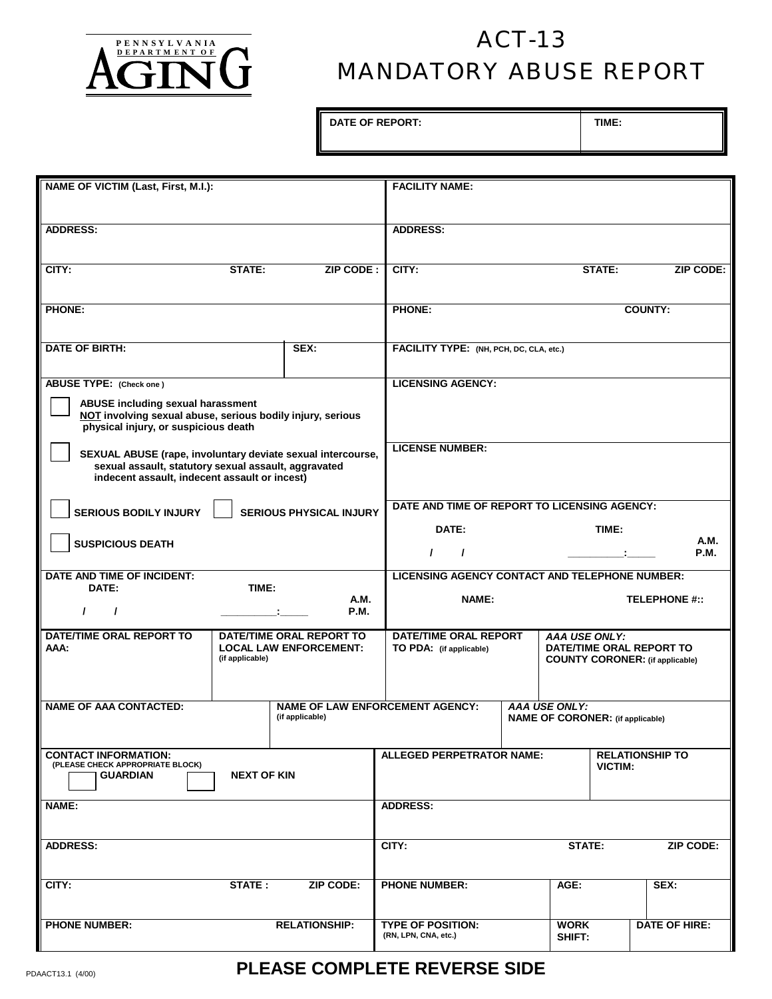

## **PENNSYLVANIA**<br> **ACT-13** MANDATORY ABUSE REPORT

DATE OF REPORT: **TIME:** 

| <b>NAME OF VICTIM (Last, First, M.I.):</b>                                                                                              |                 |                               | <b>FACILITY NAME:</b>                            |                                              |                                         |                                        |                          |  |
|-----------------------------------------------------------------------------------------------------------------------------------------|-----------------|-------------------------------|--------------------------------------------------|----------------------------------------------|-----------------------------------------|----------------------------------------|--------------------------|--|
|                                                                                                                                         |                 |                               |                                                  |                                              |                                         |                                        |                          |  |
| <b>ADDRESS:</b>                                                                                                                         |                 |                               | <b>ADDRESS:</b>                                  |                                              |                                         |                                        |                          |  |
|                                                                                                                                         |                 |                               |                                                  |                                              |                                         |                                        |                          |  |
| CITY:                                                                                                                                   | STATE:          | ZIP CODE:                     | CITY:                                            |                                              |                                         | <b>STATE:</b>                          | <b>ZIP CODE:</b>         |  |
| <b>PHONE:</b>                                                                                                                           |                 |                               | <b>PHONE:</b>                                    |                                              |                                         |                                        | <b>COUNTY:</b>           |  |
|                                                                                                                                         |                 |                               |                                                  |                                              |                                         |                                        |                          |  |
| <b>DATE OF BIRTH:</b>                                                                                                                   |                 | SEX:                          | FACILITY TYPE: (NH, PCH, DC, CLA, etc.)          |                                              |                                         |                                        |                          |  |
|                                                                                                                                         |                 |                               |                                                  |                                              |                                         |                                        |                          |  |
| <b>ABUSE TYPE:</b> (Check one)                                                                                                          |                 |                               | <b>LICENSING AGENCY:</b>                         |                                              |                                         |                                        |                          |  |
| ABUSE including sexual harassment<br>NOT involving sexual abuse, serious bodily injury, serious<br>physical injury, or suspicious death |                 |                               |                                                  |                                              |                                         |                                        |                          |  |
| SEXUAL ABUSE (rape, involuntary deviate sexual intercourse,                                                                             |                 |                               | <b>LICENSE NUMBER:</b>                           |                                              |                                         |                                        |                          |  |
| sexual assault, statutory sexual assault, aggravated<br>indecent assault, indecent assault or incest)                                   |                 |                               |                                                  |                                              |                                         |                                        |                          |  |
| <b>SERIOUS BODILY INJURY</b><br><b>SERIOUS PHYSICAL INJURY</b>                                                                          |                 |                               |                                                  | DATE AND TIME OF REPORT TO LICENSING AGENCY: |                                         |                                        |                          |  |
|                                                                                                                                         |                 |                               | DATE:                                            | TIME:                                        |                                         |                                        |                          |  |
| <b>SUSPICIOUS DEATH</b>                                                                                                                 |                 |                               |                                                  | A.M.<br><b>P.M.</b><br>$\prime$<br>$\prime$  |                                         |                                        |                          |  |
| DATE AND TIME OF INCIDENT:<br>DATE:                                                                                                     | TIME:           |                               | LICENSING AGENCY CONTACT AND TELEPHONE NUMBER:   |                                              |                                         |                                        |                          |  |
| $\prime$<br>$\prime$                                                                                                                    |                 | A.M.<br><b>P.M.</b>           | NAME:                                            |                                              |                                         |                                        | <b>TELEPHONE #::</b>     |  |
| <b>DATE/TIME ORAL REPORT TO</b><br>AAA:                                                                                                 |                 | DATE/TIME ORAL REPORT TO      | <b>DATE/TIME ORAL REPORT</b>                     |                                              | <b>AAA USE ONLY:</b>                    |                                        | DATE/TIME ORAL REPORT TO |  |
|                                                                                                                                         | (if applicable) | <b>LOCAL LAW ENFORCEMENT:</b> | TO PDA: (if applicable)                          |                                              |                                         | <b>COUNTY CORONER:</b> (if applicable) |                          |  |
|                                                                                                                                         |                 |                               |                                                  |                                              |                                         |                                        |                          |  |
| <b>NAME OF AAA CONTACTED:</b>                                                                                                           |                 |                               | <b>NAME OF LAW ENFORCEMENT AGENCY:</b>           |                                              | <b>AAA USE ONLY:</b>                    |                                        |                          |  |
|                                                                                                                                         |                 | (if applicable)               |                                                  |                                              | <b>NAME OF CORONER:</b> (if applicable) |                                        |                          |  |
| <b>CONTACT INFORMATION:</b><br>(PLEASE CHECK APPROPRIATE BLOCK)                                                                         |                 |                               | ALLEGED PERPETRATOR NAME:                        |                                              |                                         |                                        | <b>RELATIONSHIP TO</b>   |  |
| <b>GUARDIAN</b><br><b>NEXT OF KIN</b>                                                                                                   |                 |                               |                                                  |                                              |                                         | <b>VICTIM:</b>                         |                          |  |
| NAME:                                                                                                                                   |                 |                               | <b>ADDRESS:</b>                                  |                                              |                                         |                                        |                          |  |
|                                                                                                                                         |                 |                               |                                                  |                                              |                                         |                                        |                          |  |
| <b>ADDRESS:</b>                                                                                                                         |                 |                               | CITY:                                            |                                              | STATE:                                  |                                        | <b>ZIP CODE:</b>         |  |
| CITY:                                                                                                                                   | STATE :         | <b>ZIP CODE:</b>              | <b>PHONE NUMBER:</b>                             |                                              | AGE:                                    |                                        | SEX:                     |  |
|                                                                                                                                         |                 |                               |                                                  |                                              |                                         |                                        |                          |  |
| <b>PHONE NUMBER:</b>                                                                                                                    |                 | <b>RELATIONSHIP:</b>          | <b>TYPE OF POSITION:</b><br>(RN, LPN, CNA, etc.) |                                              | <b>WORK</b><br>SHIFT:                   |                                        | DATE OF HIRE:            |  |

## PDAACT13.1 (4/00) **PLEASE COMPLETE REVERSE SIDE**